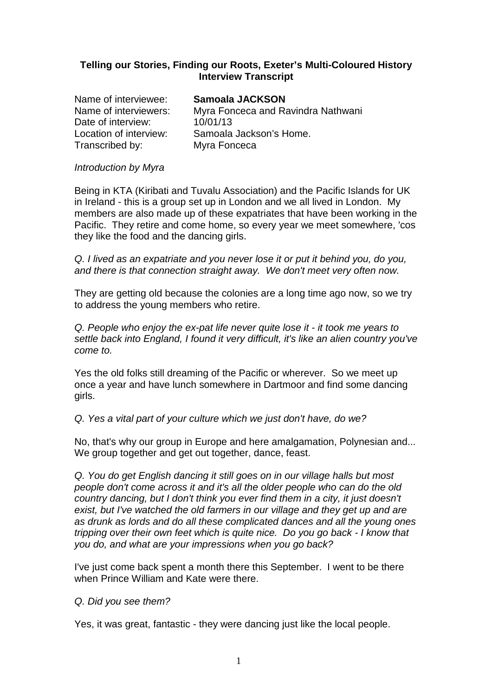## **Telling our Stories, Finding our Roots, Exeter's Multi-Coloured History Interview Transcript**

| Name of interviewee:   | Samoala JACKSON                    |
|------------------------|------------------------------------|
| Name of interviewers:  | Myra Fonceca and Ravindra Nathwani |
| Date of interview:     | 10/01/13                           |
| Location of interview: | Samoala Jackson's Home.            |
| Transcribed by:        | Myra Fonceca                       |
|                        |                                    |

### Introduction by Myra

Being in KTA (Kiribati and Tuvalu Association) and the Pacific Islands for UK in Ireland - this is a group set up in London and we all lived in London. My members are also made up of these expatriates that have been working in the Pacific. They retire and come home, so every year we meet somewhere, 'cos they like the food and the dancing girls.

Q. I lived as an expatriate and you never lose it or put it behind you, do you, and there is that connection straight away. We don't meet very often now.

They are getting old because the colonies are a long time ago now, so we try to address the young members who retire.

Q. People who enjoy the ex-pat life never quite lose it - it took me years to settle back into England, I found it very difficult, it's like an alien country you've come to.

Yes the old folks still dreaming of the Pacific or wherever. So we meet up once a year and have lunch somewhere in Dartmoor and find some dancing girls.

Q. Yes a vital part of your culture which we just don't have, do we?

No, that's why our group in Europe and here amalgamation, Polynesian and... We group together and get out together, dance, feast.

Q. You do get English dancing it still goes on in our village halls but most people don't come across it and it's all the older people who can do the old country dancing, but I don't think you ever find them in a city, it just doesn't exist, but I've watched the old farmers in our village and they get up and are as drunk as lords and do all these complicated dances and all the young ones tripping over their own feet which is quite nice. Do you go back - I know that you do, and what are your impressions when you go back?

I've just come back spent a month there this September. I went to be there when Prince William and Kate were there.

## Q. Did you see them?

Yes, it was great, fantastic - they were dancing just like the local people.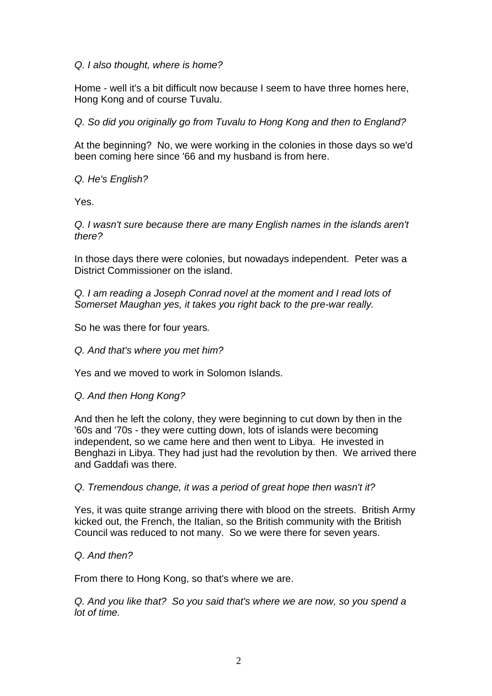## Q. I also thought, where is home?

Home - well it's a bit difficult now because I seem to have three homes here, Hong Kong and of course Tuvalu.

Q. So did you originally go from Tuvalu to Hong Kong and then to England?

At the beginning? No, we were working in the colonies in those days so we'd been coming here since '66 and my husband is from here.

Q. He's English?

Yes.

Q. I wasn't sure because there are many English names in the islands aren't there?

In those days there were colonies, but nowadays independent. Peter was a District Commissioner on the island.

Q. I am reading a Joseph Conrad novel at the moment and I read lots of Somerset Maughan yes, it takes you right back to the pre-war really.

So he was there for four years.

Q. And that's where you met him?

Yes and we moved to work in Solomon Islands.

## Q. And then Hong Kong?

And then he left the colony, they were beginning to cut down by then in the '60s and '70s - they were cutting down, lots of islands were becoming independent, so we came here and then went to Libya. He invested in Benghazi in Libya. They had just had the revolution by then. We arrived there and Gaddafi was there.

Q. Tremendous change, it was a period of great hope then wasn't it?

Yes, it was quite strange arriving there with blood on the streets. British Army kicked out, the French, the Italian, so the British community with the British Council was reduced to not many. So we were there for seven years.

## Q. And then?

From there to Hong Kong, so that's where we are.

Q. And you like that? So you said that's where we are now, so you spend a lot of time.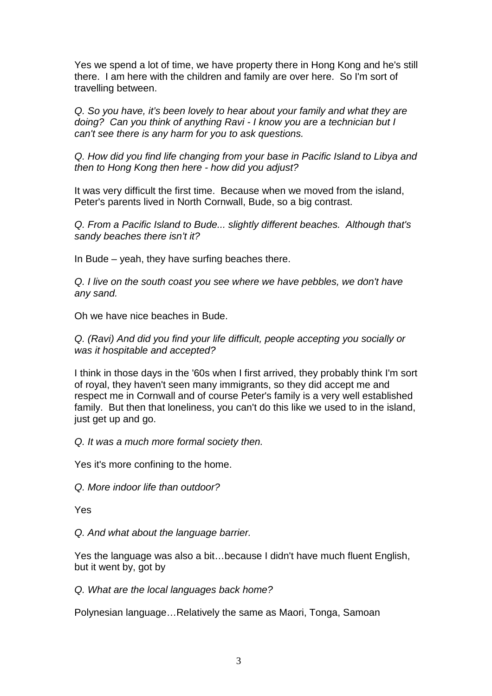Yes we spend a lot of time, we have property there in Hong Kong and he's still there. I am here with the children and family are over here. So I'm sort of travelling between.

Q. So you have, it's been lovely to hear about your family and what they are doing? Can you think of anything Ravi - I know you are a technician but I can't see there is any harm for you to ask questions.

Q. How did you find life changing from your base in Pacific Island to Libya and then to Hong Kong then here - how did you adjust?

It was very difficult the first time. Because when we moved from the island, Peter's parents lived in North Cornwall, Bude, so a big contrast.

Q. From a Pacific Island to Bude... slightly different beaches. Although that's sandy beaches there isn't it?

In Bude – yeah, they have surfing beaches there.

Q. I live on the south coast you see where we have pebbles, we don't have any sand.

Oh we have nice beaches in Bude.

Q. (Ravi) And did you find your life difficult, people accepting you socially or was it hospitable and accepted?

I think in those days in the '60s when I first arrived, they probably think I'm sort of royal, they haven't seen many immigrants, so they did accept me and respect me in Cornwall and of course Peter's family is a very well established family. But then that loneliness, you can't do this like we used to in the island, just get up and go.

Q. It was a much more formal society then.

Yes it's more confining to the home.

Q. More indoor life than outdoor?

Yes

Q. And what about the language barrier.

Yes the language was also a bit…because I didn't have much fluent English, but it went by, got by

Q. What are the local languages back home?

Polynesian language…Relatively the same as Maori, Tonga, Samoan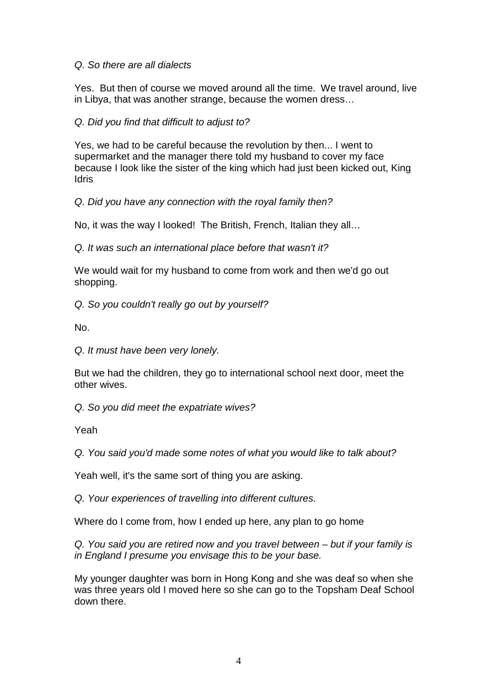## Q. So there are all dialects

Yes. But then of course we moved around all the time. We travel around, live in Libya, that was another strange, because the women dress…

# Q. Did you find that difficult to adjust to?

Yes, we had to be careful because the revolution by then... I went to supermarket and the manager there told my husband to cover my face because I look like the sister of the king which had just been kicked out, King **Idris** 

Q. Did you have any connection with the royal family then?

No, it was the way I looked! The British, French, Italian they all…

Q. It was such an international place before that wasn't it?

We would wait for my husband to come from work and then we'd go out shopping.

Q. So you couldn't really go out by yourself?

No.

Q. It must have been very lonely.

But we had the children, they go to international school next door, meet the other wives.

Q. So you did meet the expatriate wives?

Yeah

Q. You said you'd made some notes of what you would like to talk about?

Yeah well, it's the same sort of thing you are asking.

Q. Your experiences of travelling into different cultures.

Where do I come from, how I ended up here, any plan to go home

Q. You said you are retired now and you travel between – but if your family is in England I presume you envisage this to be your base.

My younger daughter was born in Hong Kong and she was deaf so when she was three years old I moved here so she can go to the Topsham Deaf School down there.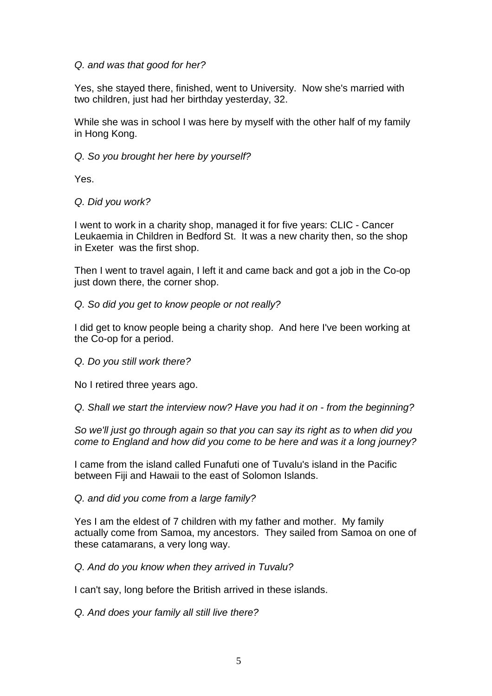### Q. and was that good for her?

Yes, she stayed there, finished, went to University. Now she's married with two children, just had her birthday yesterday, 32.

While she was in school I was here by myself with the other half of my family in Hong Kong.

## Q. So you brought her here by yourself?

Yes.

### Q. Did you work?

I went to work in a charity shop, managed it for five years: CLIC - Cancer Leukaemia in Children in Bedford St. It was a new charity then, so the shop in Exeter was the first shop.

Then I went to travel again, I left it and came back and got a job in the Co-op just down there, the corner shop.

### Q. So did you get to know people or not really?

I did get to know people being a charity shop. And here I've been working at the Co-op for a period.

#### Q. Do you still work there?

No I retired three years ago.

Q. Shall we start the interview now? Have you had it on - from the beginning?

So we'll just go through again so that you can say its right as to when did you come to England and how did you come to be here and was it a long journey?

I came from the island called Funafuti one of Tuvalu's island in the Pacific between Fiji and Hawaii to the east of Solomon Islands.

Q. and did you come from a large family?

Yes I am the eldest of 7 children with my father and mother. My family actually come from Samoa, my ancestors. They sailed from Samoa on one of these catamarans, a very long way.

Q. And do you know when they arrived in Tuvalu?

I can't say, long before the British arrived in these islands.

Q. And does your family all still live there?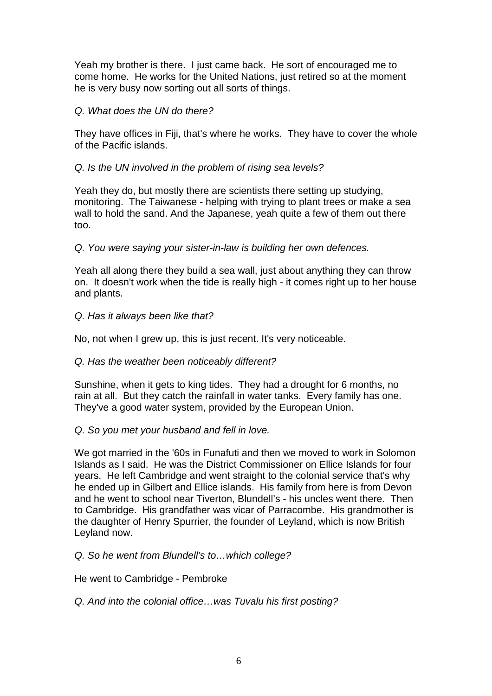Yeah my brother is there. I just came back. He sort of encouraged me to come home. He works for the United Nations, just retired so at the moment he is very busy now sorting out all sorts of things.

## Q. What does the UN do there?

They have offices in Fiji, that's where he works. They have to cover the whole of the Pacific islands.

### Q. Is the UN involved in the problem of rising sea levels?

Yeah they do, but mostly there are scientists there setting up studying, monitoring. The Taiwanese - helping with trying to plant trees or make a sea wall to hold the sand. And the Japanese, yeah quite a few of them out there too.

### Q. You were saying your sister-in-law is building her own defences.

Yeah all along there they build a sea wall, just about anything they can throw on. It doesn't work when the tide is really high - it comes right up to her house and plants.

### Q. Has it always been like that?

No, not when I grew up, this is just recent. It's very noticeable.

#### Q. Has the weather been noticeably different?

Sunshine, when it gets to king tides. They had a drought for 6 months, no rain at all. But they catch the rainfall in water tanks. Every family has one. They've a good water system, provided by the European Union.

## Q. So you met your husband and fell in love.

We got married in the '60s in Funafuti and then we moved to work in Solomon Islands as I said. He was the District Commissioner on Ellice Islands for four years. He left Cambridge and went straight to the colonial service that's why he ended up in Gilbert and Ellice islands. His family from here is from Devon and he went to school near Tiverton, Blundell's - his uncles went there. Then to Cambridge. His grandfather was vicar of Parracombe. His grandmother is the daughter of Henry Spurrier, the founder of Leyland, which is now British Leyland now.

#### Q. So he went from Blundell's to…which college?

He went to Cambridge - Pembroke

## Q. And into the colonial office…was Tuvalu his first posting?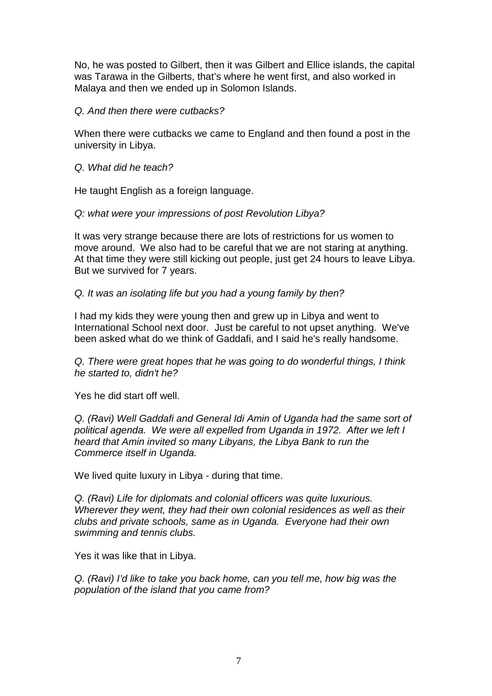No, he was posted to Gilbert, then it was Gilbert and Ellice islands, the capital was Tarawa in the Gilberts, that's where he went first, and also worked in Malaya and then we ended up in Solomon Islands.

### Q. And then there were cutbacks?

When there were cutbacks we came to England and then found a post in the university in Libya.

### Q. What did he teach?

He taught English as a foreign language.

### Q: what were your impressions of post Revolution Libya?

It was very strange because there are lots of restrictions for us women to move around. We also had to be careful that we are not staring at anything. At that time they were still kicking out people, just get 24 hours to leave Libya. But we survived for 7 years.

### Q. It was an isolating life but you had a young family by then?

I had my kids they were young then and grew up in Libya and went to International School next door. Just be careful to not upset anything. We've been asked what do we think of Gaddafi, and I said he's really handsome.

Q. There were great hopes that he was going to do wonderful things, I think he started to, didn't he?

Yes he did start off well.

Q. (Ravi) Well Gaddafi and General Idi Amin of Uganda had the same sort of political agenda. We were all expelled from Uganda in 1972. After we left I heard that Amin invited so many Libyans, the Libya Bank to run the Commerce itself in Uganda.

We lived quite luxury in Libya - during that time.

Q. (Ravi) Life for diplomats and colonial officers was quite luxurious. Wherever they went, they had their own colonial residences as well as their clubs and private schools, same as in Uganda. Everyone had their own swimming and tennis clubs.

Yes it was like that in Libya.

Q. (Ravi) I'd like to take you back home, can you tell me, how big was the population of the island that you came from?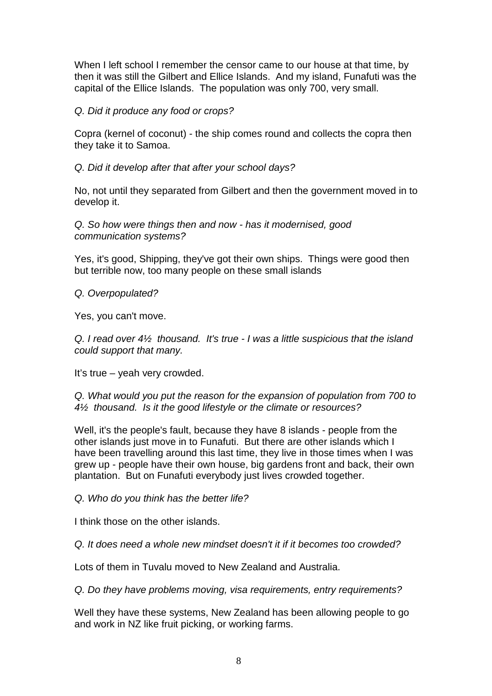When I left school I remember the censor came to our house at that time, by then it was still the Gilbert and Ellice Islands. And my island, Funafuti was the capital of the Ellice Islands. The population was only 700, very small.

## Q. Did it produce any food or crops?

Copra (kernel of coconut) - the ship comes round and collects the copra then they take it to Samoa.

# Q. Did it develop after that after your school days?

No, not until they separated from Gilbert and then the government moved in to develop it.

Q. So how were things then and now - has it modernised, good communication systems?

Yes, it's good, Shipping, they've got their own ships. Things were good then but terrible now, too many people on these small islands

Q. Overpopulated?

Yes, you can't move.

Q. I read over 4½ thousand. It's true - I was a little suspicious that the island could support that many.

It's true – yeah very crowded.

Q. What would you put the reason for the expansion of population from 700 to 4½ thousand. Is it the good lifestyle or the climate or resources?

Well, it's the people's fault, because they have 8 islands - people from the other islands just move in to Funafuti. But there are other islands which I have been travelling around this last time, they live in those times when I was grew up - people have their own house, big gardens front and back, their own plantation. But on Funafuti everybody just lives crowded together.

Q. Who do you think has the better life?

I think those on the other islands.

Q. It does need a whole new mindset doesn't it if it becomes too crowded?

Lots of them in Tuvalu moved to New Zealand and Australia.

Q. Do they have problems moving, visa requirements, entry requirements?

Well they have these systems, New Zealand has been allowing people to go and work in NZ like fruit picking, or working farms.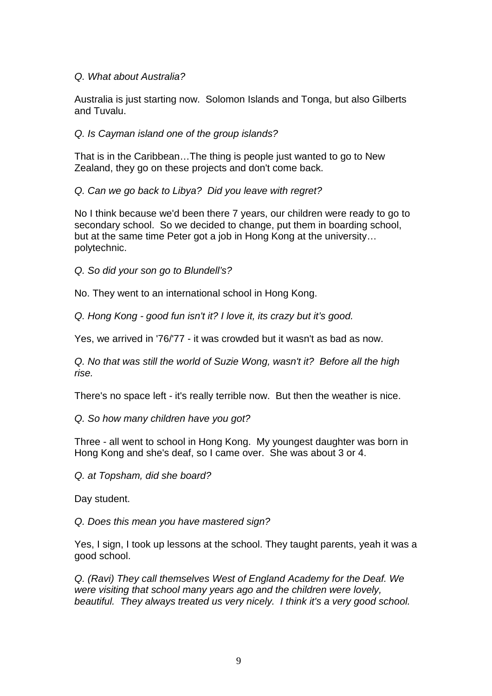## Q. What about Australia?

Australia is just starting now. Solomon Islands and Tonga, but also Gilberts and Tuvalu.

## Q. Is Cayman island one of the group islands?

That is in the Caribbean…The thing is people just wanted to go to New Zealand, they go on these projects and don't come back.

Q. Can we go back to Libya? Did you leave with regret?

No I think because we'd been there 7 years, our children were ready to go to secondary school. So we decided to change, put them in boarding school, but at the same time Peter got a job in Hong Kong at the university… polytechnic.

Q. So did your son go to Blundell's?

No. They went to an international school in Hong Kong.

Q. Hong Kong - good fun isn't it? I love it, its crazy but it's good.

Yes, we arrived in '76/'77 - it was crowded but it wasn't as bad as now.

Q. No that was still the world of Suzie Wong, wasn't it? Before all the high rise.

There's no space left - it's really terrible now. But then the weather is nice.

Q. So how many children have you got?

Three - all went to school in Hong Kong. My youngest daughter was born in Hong Kong and she's deaf, so I came over. She was about 3 or 4.

Q. at Topsham, did she board?

Day student.

Q. Does this mean you have mastered sign?

Yes, I sign, I took up lessons at the school. They taught parents, yeah it was a good school.

Q. (Ravi) They call themselves West of England Academy for the Deaf. We were visiting that school many years ago and the children were lovely, beautiful. They always treated us very nicely. I think it's a very good school.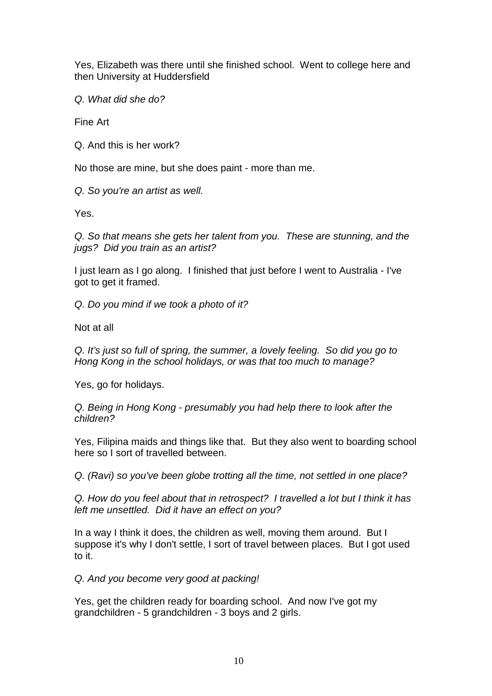Yes, Elizabeth was there until she finished school. Went to college here and then University at Huddersfield

Q. What did she do?

Fine Art

Q. And this is her work?

No those are mine, but she does paint - more than me.

Q. So you're an artist as well.

Yes.

Q. So that means she gets her talent from you. These are stunning, and the jugs? Did you train as an artist?

I just learn as I go along. I finished that just before I went to Australia - I've got to get it framed.

Q. Do you mind if we took a photo of it?

Not at all

Q. It's just so full of spring, the summer, a lovely feeling. So did you go to Hong Kong in the school holidays, or was that too much to manage?

Yes, go for holidays.

Q. Being in Hong Kong - presumably you had help there to look after the children?

Yes, Filipina maids and things like that. But they also went to boarding school here so I sort of travelled between.

Q. (Ravi) so you've been globe trotting all the time, not settled in one place?

Q. How do you feel about that in retrospect? I travelled a lot but I think it has left me unsettled. Did it have an effect on you?

In a way I think it does, the children as well, moving them around. But I suppose it's why I don't settle, I sort of travel between places. But I got used to it.

Q. And you become very good at packing!

Yes, get the children ready for boarding school. And now I've got my grandchildren - 5 grandchildren - 3 boys and 2 girls.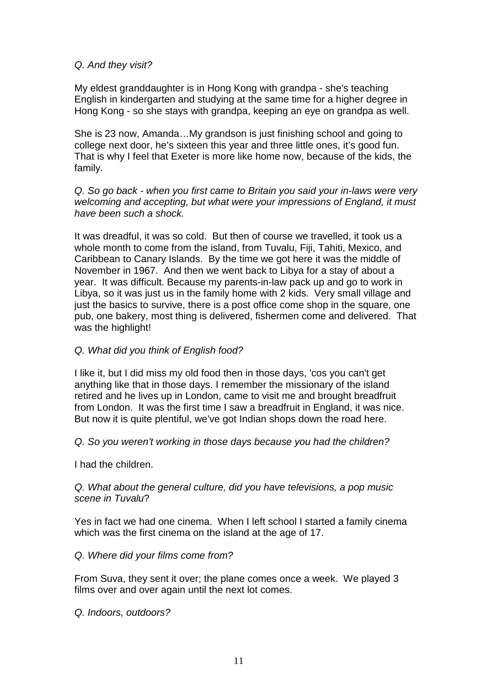## Q. And they visit?

My eldest granddaughter is in Hong Kong with grandpa - she's teaching English in kindergarten and studying at the same time for a higher degree in Hong Kong - so she stays with grandpa, keeping an eye on grandpa as well.

She is 23 now, Amanda…My grandson is just finishing school and going to college next door, he's sixteen this year and three little ones, it's good fun. That is why I feel that Exeter is more like home now, because of the kids, the family.

Q. So go back - when you first came to Britain you said your in-laws were very welcoming and accepting, but what were your impressions of England, it must have been such a shock.

It was dreadful, it was so cold. But then of course we travelled, it took us a whole month to come from the island, from Tuvalu, Fiji, Tahiti, Mexico, and Caribbean to Canary Islands. By the time we got here it was the middle of November in 1967. And then we went back to Libya for a stay of about a year. It was difficult. Because my parents-in-law pack up and go to work in Libya, so it was just us in the family home with 2 kids. Very small village and just the basics to survive, there is a post office come shop in the square, one pub, one bakery, most thing is delivered, fishermen come and delivered. That was the highlight!

### Q. What did you think of English food?

I like it, but I did miss my old food then in those days, 'cos you can't get anything like that in those days. I remember the missionary of the island retired and he lives up in London, came to visit me and brought breadfruit from London. It was the first time I saw a breadfruit in England, it was nice. But now it is quite plentiful, we've got Indian shops down the road here.

#### Q. So you weren't working in those days because you had the children?

I had the children.

## Q. What about the general culture, did you have televisions, a pop music scene in Tuvalu?

Yes in fact we had one cinema. When I left school I started a family cinema which was the first cinema on the island at the age of 17.

#### Q. Where did your films come from?

From Suva, they sent it over; the plane comes once a week. We played 3 films over and over again until the next lot comes.

#### Q. Indoors, outdoors?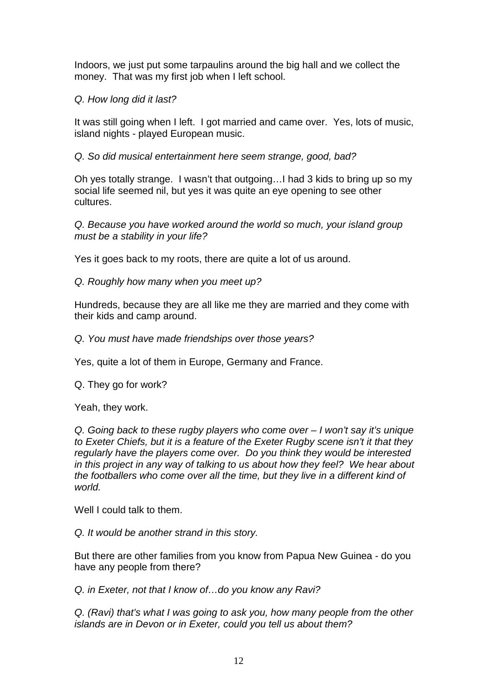Indoors, we just put some tarpaulins around the big hall and we collect the money. That was my first job when I left school.

## Q. How long did it last?

It was still going when I left. I got married and came over. Yes, lots of music, island nights - played European music.

### Q. So did musical entertainment here seem strange, good, bad?

Oh yes totally strange. I wasn't that outgoing…I had 3 kids to bring up so my social life seemed nil, but yes it was quite an eye opening to see other cultures.

Q. Because you have worked around the world so much, your island group must be a stability in your life?

Yes it goes back to my roots, there are quite a lot of us around.

Q. Roughly how many when you meet up?

Hundreds, because they are all like me they are married and they come with their kids and camp around.

Q. You must have made friendships over those years?

Yes, quite a lot of them in Europe, Germany and France.

Q. They go for work?

Yeah, they work.

Q. Going back to these rugby players who come over – I won't say it's unique to Exeter Chiefs, but it is a feature of the Exeter Rugby scene isn't it that they regularly have the players come over. Do you think they would be interested in this project in any way of talking to us about how they feel? We hear about the footballers who come over all the time, but they live in a different kind of world.

Well I could talk to them.

Q. It would be another strand in this story.

But there are other families from you know from Papua New Guinea - do you have any people from there?

Q. in Exeter, not that I know of…do you know any Ravi?

Q. (Ravi) that's what I was going to ask you, how many people from the other islands are in Devon or in Exeter, could you tell us about them?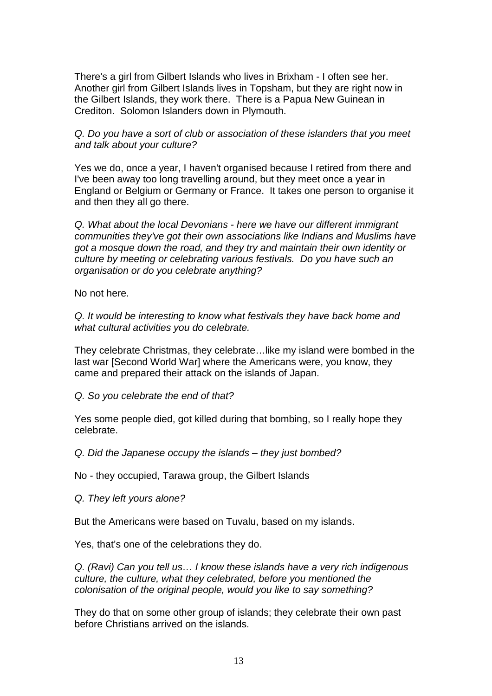There's a girl from Gilbert Islands who lives in Brixham - I often see her. Another girl from Gilbert Islands lives in Topsham, but they are right now in the Gilbert Islands, they work there. There is a Papua New Guinean in Crediton. Solomon Islanders down in Plymouth.

Q. Do you have a sort of club or association of these islanders that you meet and talk about your culture?

Yes we do, once a year, I haven't organised because I retired from there and I've been away too long travelling around, but they meet once a year in England or Belgium or Germany or France. It takes one person to organise it and then they all go there.

Q. What about the local Devonians - here we have our different immigrant communities they've got their own associations like Indians and Muslims have got a mosque down the road, and they try and maintain their own identity or culture by meeting or celebrating various festivals. Do you have such an organisation or do you celebrate anything?

No not here.

Q. It would be interesting to know what festivals they have back home and what cultural activities you do celebrate.

They celebrate Christmas, they celebrate…like my island were bombed in the last war [Second World War] where the Americans were, you know, they came and prepared their attack on the islands of Japan.

Q. So you celebrate the end of that?

Yes some people died, got killed during that bombing, so I really hope they celebrate.

Q. Did the Japanese occupy the islands – they just bombed?

No - they occupied, Tarawa group, the Gilbert Islands

Q. They left yours alone?

But the Americans were based on Tuvalu, based on my islands.

Yes, that's one of the celebrations they do.

Q. (Ravi) Can you tell us… I know these islands have a very rich indigenous culture, the culture, what they celebrated, before you mentioned the colonisation of the original people, would you like to say something?

They do that on some other group of islands; they celebrate their own past before Christians arrived on the islands.